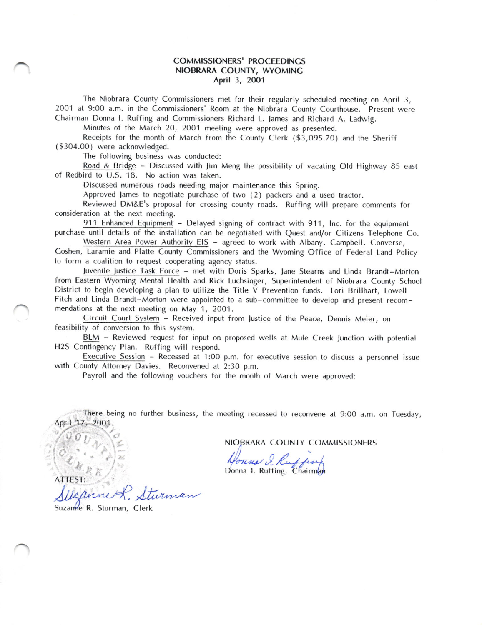## COMMISSIONERS' PROCEEDINCS NIOBRARA COUNTY, WYOMING April 3, 2001

The Niobrara County Commissioners met for their regularly scheduled meeting on April 3, 2O01 at 9:00 a.m. in the Commissioners' Room at the Niobrara County Courthouse. Present were Chairman Donna l. Ruffing and Commissioners Richard L. James and Richard A. Ladwig.

Minutes of the March 20, 2OO1 meeting were approved as presented.

Receipts for the month of March from the County Clerk (\$3,O95.70) and the Sheriff (\$304.00) were acknowledged.

The following business was conducted:

Road & Bridge - Discussed with lim Meng the possibility of vacating Old Highway 85 east of Redbird to U.S. 18. No action was taken.

Discussed numerous roads needing maior maintenance this Spring.

Approved James to negotiate purchase of two (2) packers and a used tractor.

Reviewed DM&E's proposal for crossing county roads. Ruffing will prepare comments for consideration at the next meeting.

911 Enhanced Equipment - Delayed signing of contract with 911, Inc. for the equipment purchase until details of the installation can be negotiated with Quest and/or Citizens Telephone Co.<br>Western Area Power Authority EIS - agreed to work with Albany, Campbell, Converse,

Goshen, Laramie and Platte County Commissioners and the Wyoming Office of Federal Land Policy to form a coalition to request cooperating agency status.

luvenile Justice Task Force - met with Doris Sparks, lane Stearns and Linda Brandt-Morton from Eastern Wyoming Mental Health and Rick Luchsinger, Superintendent of Niobrara County School District to begin developing a plan to utilize the Title V Prevention funds. Lori Brillhart, Lowell Fitch and Linda Brandt-Morton were appointed to a sub-committee to develop and present recommendations at the next meeting on May 1, 2001.

Circuit Court System - Received input from Justice of the Peace, Dennis Meier, on feasibility of conversion to this system.

BLM - Reviewed request for input on proposed wells at Mule Creek Junction with potential H2S Contingency Plan. Ruffing will respond.

Executive Session - Recessed at 1:0O p.m. for executive session to discuss a personnel issue with County Attorney Davies. Reconvened at 2:30 p.m.

Payroll and the following vouchers for the month of March were approved:

lhere being no further business, the meeting recessed to reconvene at 9:OO a.m. on Tuesday, April 17, 2001

NIOBRARA COUNTY COMMISSIONERS

Houne I. Ruffing

A TTEST:

 $1+$  $\sqrt{U}$ Suzanne R. Sturman, Clerk